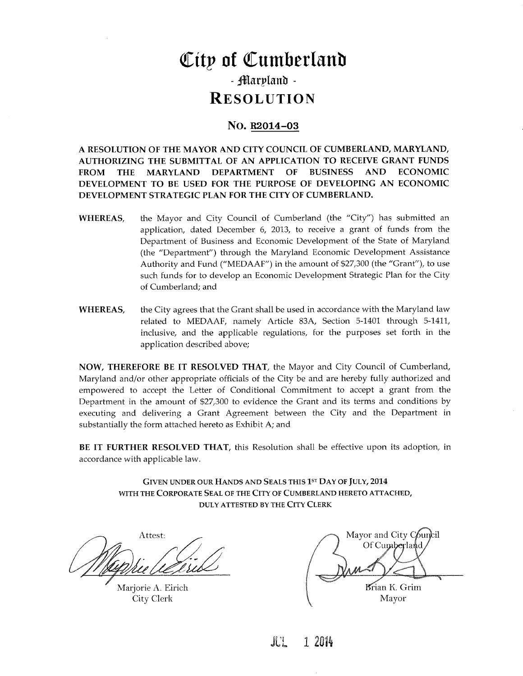# City of Cumberland - Marpland -**RESOLUTION**

## No. R<sub>2014</sub>-03

A RESOLUTION OF THE MAYOR AND CITY COUNCIL OF CUMBERLAND, MARYLAND, AUTHORIZING THE SUBMITTAL OF AN APPLICATION TO RECEIVE GRANT FUNDS FROM THE MARYLAND DEPARTMENT OF BUSINESS AND ECONOMIC DEVELOPMENT TO BE USED FOR THE PURPOSE OF DEVELOPING AN ECONOMIC DEVELOPMENT STRATEGIC PLAN FOR THE CITY OF CUMBERLAND

- WHEREAS, the Mayor and City Council of Cumberland (the "City") has submitted an application, dated December 6, 2013, to receive a grant of funds from the Department of Business and Economic Development of the State of Maryland (the "Department") through the Maryland Economic Development Assistance<br>Authority and Fund ("MEDAAF") in the amount of \$27,300 (the "Grant"), to use such funds for to develop an Economic Development Strategic Plan for the City of Cumberland: and
- WHEREAS, the City agrees that the Grant shall be used in accordance with the Maryland law related to MEDAAF, namely Article 83A, Section 5-1401 through 5-1411, inclusive, and the applicable regulations, for the purposes set forth in the application described above

NOW, THEREFORE BE IT RESOLVED THAT, the Mayor and City Council of Cumberland, Maryland and/or other appropriate officials of the City be and are hereby fully authorized and empowered to accept the Letter of Conditional Commitment to accept <sup>a</sup> grant from the Department in the amount of \$27,300 to evidence the Grant and its terms and conditions by executing and delivering a Grant Agreement between the City and the Department in substantially the form attached hereto as Exhibit A; and

BE IT FURTHER RESOLVED THAT, this Resolution shall be effective upon its adoption, in accordance with applicable law

> GIVEN UNDER OUR HANDS AND SEALS THIS 1ST DAY OF JULY, 2014 WITH THE CORPORATE SEAL OF THE CITY OF CUMBERLAND HERETO ATTACHED, DULY ATTESTED BY THE CITY CLERK

Attest:

Marjorie A. Eirich City Clerk

Mayor and City Council Of Cumberland Brian K. Grim Mayor

JUL 12014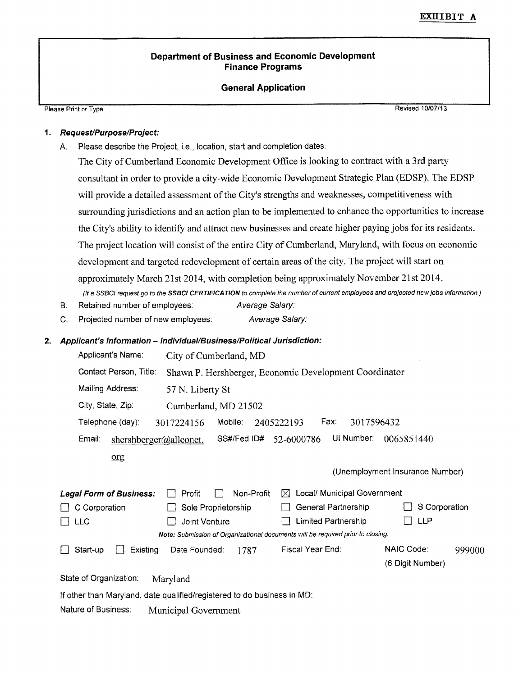# EXHIBIT A

### Department of Business and Economic Development Finance Programs

#### General Application

Please Print or Type Revised 10/07/13

## 1. Request/Purpose/Project:

Please Print or Type<br>
1. Request/Purpose/Project:<br>
A. Please describe the Project, i.e., location, start and completion dates.

The City of Cumberland Economic Development Office is looking to contract with a 3rd party consultant in order to provide a city-wide Economic Development Strategic Plan (EDSP). The EDSP consultant in order to provide a city-wide Economic Development Strategic Plan (EDSP). The l<br>will provide a detailed assessment of the City's strengths and weaknesses, competitiveness with surrounding jurisdictions and an action plan to be implemented to enhance the opportunities to increase surrounding jurisdictions and an action plan to be implemented to enhance the opportunities to increate the City's ability to identify and attract new businesses and create higher paying jobs for its residents. The project location will consist of the entire City of Cumberland, Maryland, with focus on economic development and targeted redevelopment of certain areas of the city. The project will start on approximately March 21st 2014, with completion being approximately November 21st 2014. (If a SSBCI request go to the SSBCI CERTIFICATION to complete the number of current employees and projected new jobs information.) approximately March 21st 2014, with completion being appro<br>
(*If a SSBCI request go to the SSBCI CERTIFICATION to complete the number of c*<br>
B. Retained number of employees: Average Salary:<br>
C. Projected number of new empl

- B. Retained number of employees: Average Salary:
- C. Projected number of new employees: Average Salary:

#### Applicant's Information - Individual/Business/Political Jurisdiction:

| Applicant's Name:                | City of Cumberland, MD                                                          |                                  |                                 |        |
|----------------------------------|---------------------------------------------------------------------------------|----------------------------------|---------------------------------|--------|
| Contact Person, Title:           | Shawn P. Hershberger, Economic Development Coordinator                          |                                  |                                 |        |
| Mailing Address:                 | 57 N. Liberty St                                                                |                                  |                                 |        |
| City, State, Zip:                | Cumberland, MD 21502                                                            |                                  |                                 |        |
| Telephone (day):                 | Mobile:<br>3017224156                                                           | Fax:<br>3017596432<br>2405222193 |                                 |        |
| Email:<br>shershberger@allconet. | SS#/Fed.ID#                                                                     | UI Number:<br>52-6000786         | 0065851440                      |        |
| org                              |                                                                                 |                                  |                                 |        |
|                                  |                                                                                 |                                  | (Unemployment Insurance Number) |        |
| <b>Legal Form of Business:</b>   | Non-Profit<br>Profit                                                            | Local/ Municipal Government<br>⋈ |                                 |        |
| C Corporation                    | Sole Proprietorship                                                             | General Partnership              | S Corporation                   |        |
| <b>LLC</b>                       | Joint Venture                                                                   | Limited Partnership              | LLP                             |        |
|                                  | Note: Submission of Organizational documents will be required prior to closing. |                                  |                                 |        |
| Existing<br>Start-up             | Date Founded:<br>1787                                                           | Fiscal Year End:                 | NAIC Code:                      | 999000 |
|                                  |                                                                                 |                                  | (6 Digit Number)                |        |
| State of Organization:           | Maryland                                                                        |                                  |                                 |        |
|                                  | If other than Maryland, date qualified/registered to do business in MD:         |                                  |                                 |        |

Nature of Business: Municipal Government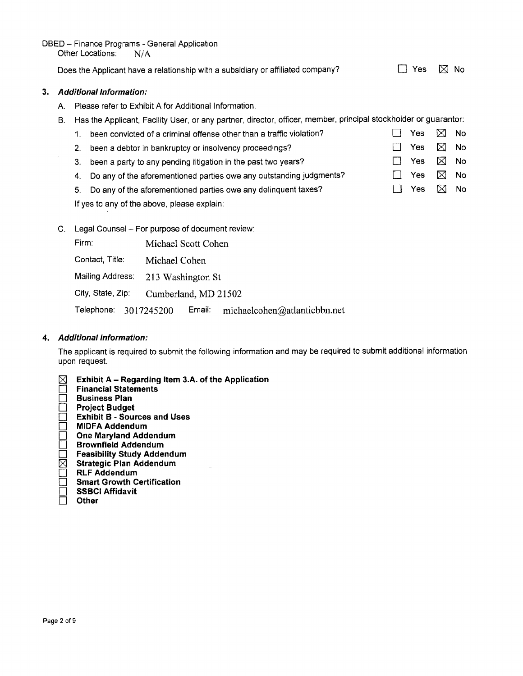DBED – Finance Programs - General Application<br>Other Locations: N/A

Does the Applicant have a relationship with a subsidiary or affiliated company?  $\square$  Yes  $\square$  No

#### 3. Additional Information:

 $\bar{ }$ 

- A. Please refer to Exhibit A for Additional Information.
- B. Has the Applicant, Facility User, or any partner, director, officer, member, principal stockholder or guarantor:

| been convicted of a criminal offense other than a traffic violation?   | Yes $\boxtimes$ No |                |     |
|------------------------------------------------------------------------|--------------------|----------------|-----|
| 2. been a debtor in bankruptcy or insolvency proceedings?              | Yes                | ∑ No           |     |
| 3. been a party to any pending litigation in the past two years?       | Yes                | $\boxtimes$ No |     |
| 4. Do any of the aforementioned parties owe any outstanding judgments? | Yes                | $\boxtimes$ No |     |
| 5. Do any of the aforementioned parties owe any delinguent taxes?      | Yes.               | M              | No. |
|                                                                        |                    |                |     |

If yes to any of the above, please explain:

C. Legal Counsel - For purpose of document review:

Firm: Michael Scott Cohen

Michael Cohen

Mailing Address: 213 Washington St

City, State, Zip: Contact, Title: Michael Cohen<br>
Mailing Address: 213 Washington St<br>
City, State, Zip: Cumberland, MD 21502

Mannig Address. 215 Washington St<br>City, State, Zip: Cumberland, MD 21502<br>Telephone: 3017245200 Email: michaelcohen@atlanticbbn.net

#### 4. Additional Information:

The applicant is required to submit the following information and may be required to submit additional information upon request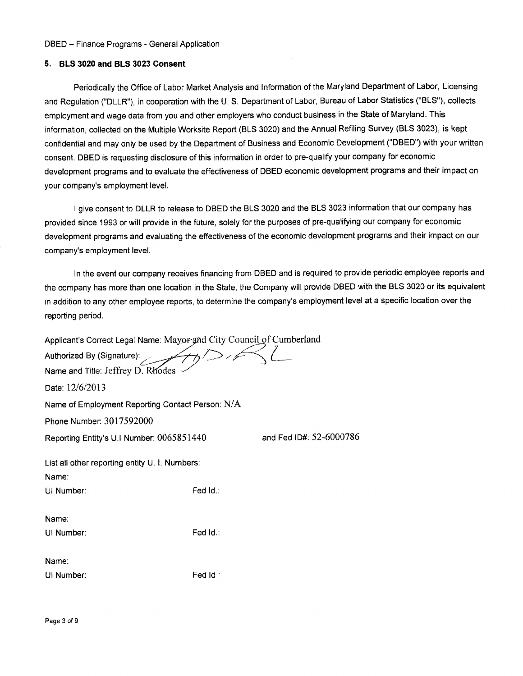#### 5. BLS 3020 and BLS 3023 Consent

Periodically the Office of Labor Market Analysis and Information of the Maryland Department of Labor, Licensing and Regulation ("DLLR"), in cooperation with the U.S. Department of Labor, Bureau of Labor Statistics ("BLS"), collects employment and wage data from you and other employers who conduct business in the State of Maryland. This information, collected on the Multiple Worksite Report (BLS 3020) and the Annual Refiling Survey (BLS 3023), is kept confidential and may only be used by the Department of Business and Economic Development ("DBED") with your written consent. DBED is requesting disclosure of this information in order to pre-qualify your company for economic development programs and to evaluate the effectiveness of DBED economic development programs and their impact on Information, collected on the wultip<br>confidential and may only be used<br>consent. DBED is requesting discli-<br>development programs and to eva<br>your company's employment level.

<sup>I</sup> give consent to DLLR to release to DBED the BLS 3020 and the BLS 3023 information that our company has provided since 1993 or will provide in the future, solely for the purposes of pre-qualifying our company for economic development programs and evaluating the effectiveness of the economic development programs and their impact on our I give consent to DLL<br>provided since 1993 or will pr<br>development programs and e<br>company's employment level.

In the event our company receives financing from DBED and is required to provide periodic employee reports and the company has more than one location in the State, the Company will provide DBED with the BLS 3020 or its equivalent in the event our company receives financing from DBED and is required to provide periodic employee reports the company has more than one location in the State, the Company will provide DBED with the BLS 3020 or its equivar reporting period the company has more than one location in the State, the Company will prov<br>in addition to any other employee reports, to determine the company's emplore<br>porting period.<br>Applicant's Correct Legal Name: Mayor and City Counci

Applicant's Correct Legal Name: Mayor and City Council of Cumberland

| Authorized By (Signature):                              |          |                         |  |  |  |  |
|---------------------------------------------------------|----------|-------------------------|--|--|--|--|
| Name and Title: Jeffrey D. Rhodes                       |          |                         |  |  |  |  |
| Date: 12/6/2013                                         |          |                         |  |  |  |  |
| Name of Employment Reporting Contact Person: N/A        |          |                         |  |  |  |  |
| Phone Number: 3017592000                                |          |                         |  |  |  |  |
| Reporting Entity's U.I Number: 0065851440               |          | and Fed ID#: 52-6000786 |  |  |  |  |
| List all other reporting entity U. I. Numbers:<br>Name: |          |                         |  |  |  |  |
| UI Number:                                              | Fed Id.: |                         |  |  |  |  |
| Name:<br>UI Number:                                     | Fed Id.∶ |                         |  |  |  |  |
| Name:<br>UI Number:                                     | Fed Id.: |                         |  |  |  |  |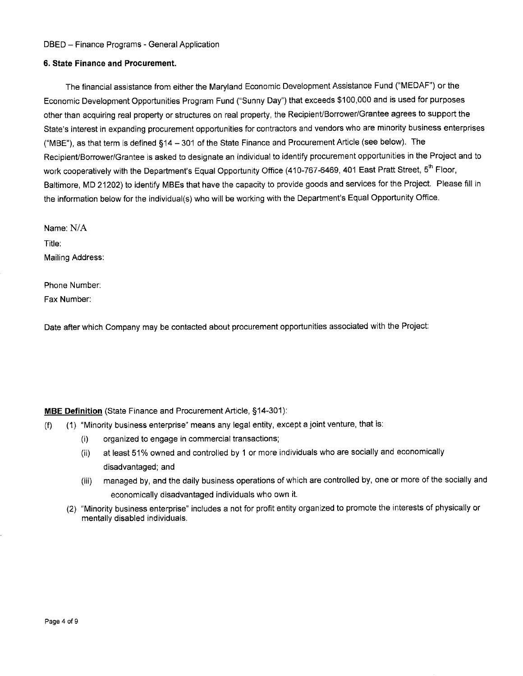#### 6. State Finance and Procurement.

The financial assistance from either the Maryland Economic Development Assistance Fund ("MEDAF") or the Economic Development Opportunities Program Fund ("Sunny Day") that exceeds \$100,000 and is used for purposes other than acquiring real property or structures on real property, the Recipient/Borrower/Grantee agrees to support the Economic Development Opportunities Program Fund ("Sunny Day") that exceeds \$100,000 and is used for purposes<br>other than acquiring real property or structures on real property, the Recipient/Borrower/Grantee agrees to suppo ("MBE"), as that term is defined  $\S 14 - 301$  of the State Finance and Procurement Article (see below). The Recipient/Borrower/Grantee is asked to designate an individual to identify procurement opportunities in the Project and to Economic Development Opportunities Program Fund ("Sunny Day") that exceeds \$100,000 and is used for purpos<br>other than acquiring real property or structures on real property, the Recipient/Borrower/Grantee agrees to support Baltimore, MD 21202) to identify MBEs that have the capacity to provide goods and services for the Project. Please fill in State's interest in expanding procurement opportunities for contractors and vendors who are minority business<br>("MBE"), as that term is defined §14 – 301 of the State Finance and Procurement Article (see below). The<br>Recipie

Name: N/A Title: Mailing Address

Phone Number Fax Number

Date after which Company may be contacted about procurement opportunities associated with the Project:

#### MBE Definition (State Finance and Procurement Article, §14-301):

- **MBE Definition** (State Finance and Procurement Article, §14-301):<br>(f) (1) "Minority business enterprise" means any legal entity, except a joint venture, that is:
	- "Minority business enterprise" means any legal entity, <mark>()</mark><br>(i) organized to engage in commercial transactions
	- (ii) at least 51% owned and controlled by 1 or more individuals who are socially and economically disadvantaged; and
	- (iii) managed by, and the daily business operations of which are controlled by, one or more of the socially and economically disadvantaged individuals who own it
	- (2) "Minority business enterprise" includes a not for profit entity organized to promote the interests of physically or mentally disabled individuals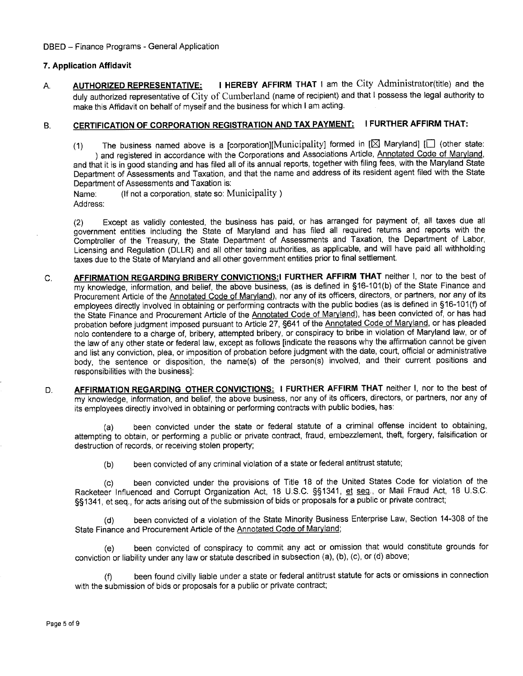#### 7. Application Affidavit

T. Application Affidavit<br>
A. AUTHORIZED REPRESENTATIVE: I HEREBY AFFIRM THAT I am the City Administrator (title) and the<br>
duly authorized representative of City of Cumberland (name of recipient) and that I possess the lega make this Affidavit on behalf of myself and the business for which <sup>I</sup> am acting

# B. CERTIFICATION OF CORPORATION REGISTRATION AND TAX PAYMENT: I FURTHER AFFIRM THAT:

(1) The business named above is a [corporation][Municipality] formed in [ $\boxtimes$  Maryland] [ $\Box$  (other state: ) and registered in accordance with the Corporations and Associations Article, Annotated Code of Maryland, and that it is in good standing and has filed all of its annual reports, together with filing fees, with the Maryland State Department of Assessments and Taxation, and that the name and address of its resident agent filed with the State Department of Assessments and Taxation is

Name: (If not a corporation, state so: Municipality) Address

(2) Except as validly contested, the business has paid, or has arranged for payment of, all taxes due all government entities including the State of Maryland and has filed all required returns and reports with the Comptroller of the Treasury, the State Department of Assessments and Taxation, the Department of Labor, Licensing and Regulation (DLLR) and all other taxing authorities, as applicable, and will have paid all withholding taxes due to the State of Maryland and all other government entities prior to final settlement

- C. **AFFIRMATION REGARDING BRIBERY CONVICTIONS:I FURTHER AFFIRM THAT** neither I, nor to the best of dived due to the etds of maryland and all earse. Secondment shares process as the above the process of the best of my knowledge, information, and belief, the above business, (as is defined in §16-101(b) of the State Financ Procurement Article of the <u>Annotated Code of Maryland</u>), nor any of its officers, directors, or partners, nor any of its taxes due to the State of Maryland and all other government entities prior to final settlement.<br> **AFFIRMATION REGARDING BRIBERY CONVICTIONS:** I FURTHER AFFIRM THAT neither 1, nor to the best of<br>
my knowledge, information, the State Finance and Procurement Article of the Annotated Code of Maryland), has been convicted of, or has had probation before judgment imposed pursuant to Article 27, §641 of the Annotated Code of Maryland, or has pleaded nolo contendere to a charge of, bribery, attempted bribery, or conspiracy to bribe in violation of Maryland law, or of the law of any other state or federal law, except as follows [indicate the reasons why the affirmation cannot be given and list any conviction, plea, or imposition of probation before judgment with the date, court, official or administrative<br>body, the sentence or disposition, the name(s) of the person(s) involved, and their current positio the state Finance and Procurement Article of the <u>Annotated Code of Maryland</u>), has been convicted or, or has had<br>probation before judgment imposed pursuant to Article 27, §641 of the <u>Annotated Code of Maryland</u>, or has p responsibilities with the business
- D. **AFFIRMATION REGARDING OTHER CONVICTIONS: I FURTHER AFFIRM THAT neither I, nor to the best of** my knowledge, information, and belief, the above business, nor any of its officers, directors, or partners, nor any of its employees directly involved in obtaining or performing contracts with public bodies, has:

 $(a)$ been convicted under the state or federal statute of a criminal offense incident to obtaining attempting to obtain, or performing a public or private contract, fraud, embezzlement, theft, forgery, falsification or destruction of records, or receiving stolen property;

(b) been convicted of any criminal violation of a state or federal antitrust statute;

(c) been convicted under the provisions of Title 18 of the United States Code for violation of the Racketeer Influenced and Corrupt Organization Act, 18 U.S.C. §§1341, et seq., or Mail Fraud Act, 18 U.S.C. §§1341, et seq., for acts arising out of the submission of bids or proposals for a public or private contract;

(d) been convicted of a violation of the State Minority Business Enterprise Law, Section 14-308 of the State Finance and Procurement Article of the Annotated Code of Maryland;

(e) been convicted of conspiracy to commit any act or omission that would constitute grounds for conviction or liability under any law or statute described in subsection (a), (b), (c), or (d) above;

(f) been found civilly liable under a state or federal antitrust statute for acts or omissions in connection with the submission of bids or proposals for a public or private contract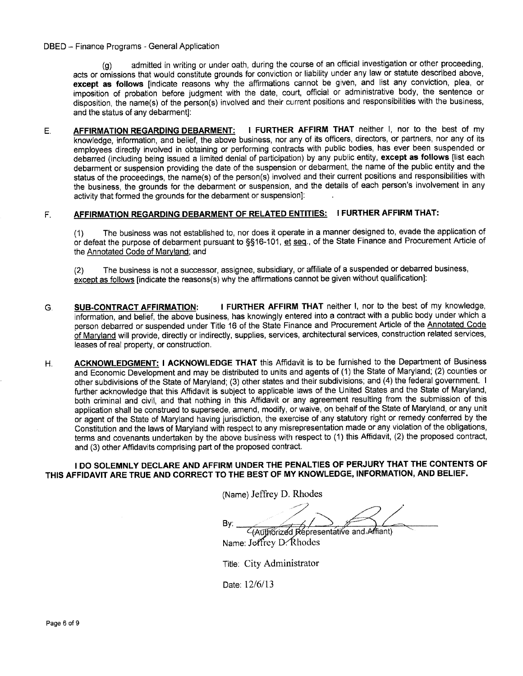(g) admitted in writing or under oath, during the course of an official investigation or other proceeding, acts or omissions that would constitute grounds for conviction or liability under any law or statute described above except as follows [indicate reasons why the affirmations cannot be given, and list any conviction, plea, or imposition of probation before judgment with the date, court, official or administrative body, the sentence or<br>disposition, the name(s) of the person(s) involved and their current positions and responsibilities with the bu (g) admitted in writing or under oath, during the course of an official investigation or other proceeding, acts or omissions that would constitute grounds for conviction or liability under any law or statute described abov and the status of any debarment]:

E. **AFFIRMATION REGARDING DEBARMENT:** I FURTHER AFFIRM THAT neither I, nor to the best of my knowledge, information, and belief, the above business, nor any of its officers, directors, or partners, nor any of its employees directly involved in obtaining or performing contracts with public bodies, has ever been suspended or debarred (including being issued a limited denial of participation) by any public entity, except as follows [list each debarment or suspension providing the date of the suspension or debarment, the name of the public entity and the<br>status of the proceedings, the name(s) of the person(s) involved and their current positions and responsibili AFFIRMATION REGARDING DEBARMENT: I FURTHER AFFIRM THAT HEIGHT 1, NOT to the best of my<br>knowledge, information, and belief, the above business, nor any of its officers, directors, or partners, nor any of its<br>employees direc employees directly involved in obtaining or performing contracts with public bodies, has ever been suspended or<br>debarred (including being issued a limited denial of participation) by any public entity, **except as follows** activity that formed the grounds for the debarment or suspension]:

# F. AFFIRMATION REGARDING DEBARMENT OF RELATED ENTITIES: I FURTHER AFFIRM THAT:

(1) The business was not established to, nor does it operate in a manner designed to, evade the application of or defeat the purpose of debarment pursuant to §§16-101, et seq., of the State Finance and Procurement Article of the Annotated Code of Maryland; and

(2) The business is not a successor, assignee, subsidiary, or affiliate of a suspended or debarred business, except as follows [indicate the reasons(s) why the affirmations cannot be given without qualification]:

- G. SUB-CONTRACT AFFIRMATION: I FURTHER AFFIRM THAT neither I, nor to the best of my knowledge, information, and belief, the above business, has knowingly entered into a contract with a public body under which a person debarred or suspended under Title 16 of the State Finance and Procurement Article of the Annotated Code of Maryland will provide, directly or indirectly, supplies, services, architectural services, construction related services, leases of real property, or construction.
- H. ACKNOWLEDGMENT: I ACKNOWLEDGE THAT this Affidavit is to be furnished to the Department of Business and Economic Development and may be distributed to units and agents of (1) the State of Maryland; (2) counties or other subdivisions of the State of Maryland; (3) other states and their subdivisions; and (4) the federal government. I further acknowledge that this Affidavit is subject to applicable laws of the United States and the State of Maryland both criminal and civil, and that nothing in this Affidavit or any agreement resulting from the submission of this application shall be construed to supersede, amend, modify, or waive, on behalf of the State of Maryland, or any unit or agent of the State of Maryland having jurisdiction, the exercise of any statutory right or remedy conferred by the Constitution and the laws of Maryland with respect to any misrepresentation made or any violation of the obligations terms and covenants undertaken by the above business with respect to (1) this Affidavit, (2) the proposed contract, and (3) other Affidavits comprising part of the proposed contract.

<sup>I</sup> DO SOLEMNLY DECLARE AND AFFIRM UNDER THE PENALTIES OF PERJURY THAT THE CONTENTS OF THIS AFFIDAVIT ARE TRUE AND CORRECT TO THE BEST OF MY KNOWLEDGE, INFORMATION, AND BELIEF.

(Name) Jeffrey D. Rhodes

 $Bv:$  $\overline{c}$ (Authorized Representative and Afriant)

Name: Jeffrey D. Rhodes

Title: City Administrator .<br>Title: City Ao<br>Date: 12/6/13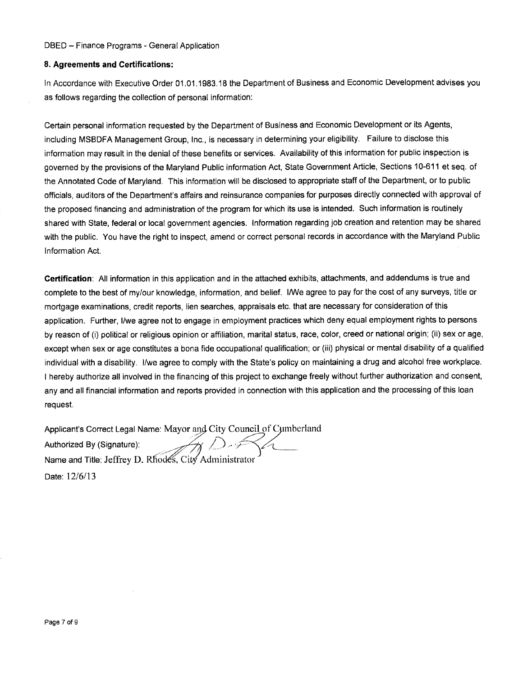#### 8. Agreements and Certifications:

In Accordance with Executive Order 01.01.1983.18 the Department of Business and Economic Development advises you as follows regarding the collection of personal information

Certain personal information requested by the Department of Business and Economic Development or its Agents including MSBDFA Management Group, Inc., is necessary in determining your eligibility. Failure to disclose this information may result in the denial of these benefits or services. Availability of this information for public inspection is governed by the provisions of the Maryland Public information Act, State Government Article, Sections 10-611 et seq. of the Annotated Code of Maryland. This information will be disclosed to appropriate staff of the Department, or to public Certain personal information requested by the Department of Business and Economic Development or its Agents,<br>including MSBDFA Management Group, Inc., is necessary in determining your eligibility. Failure to disclose this<br>i shared with State, federal or local government agencies. Information regarding job creation and retention may be shared with the public. You have the right to inspect, amend or correct personal records in accordance with the Maryland Public Information Act

Certification: All information in this application and in the attached exhibits, attachments, and addendums is true and complete to the best of my/our knowledge, information, and belief. I/We agree to pay for the cost of any surveys, title or mortgage examinations, credit reports, lien searches, appraisals etc. that are necessary for consideration of this application. Further, I/we agree not to engage in employment practices which deny equal employment rights to persons application. Further, I/we agree not to engage in employment practices which deny equal employment rights to persons<br>by reason of (i) political or religious opinion or affiliation, marital status, race, color, creed or na except when sex or age constitutes a bona fide occupational qualification; or (iii) physical or mental disability of a qualified by reason of (i) political or religious opinion or affiliation, marital status, race, color, creed or national origin; (ii) sex or age<br>except when sex or age constitutes a bona fide occupational qualification; or (iii) phy <sup>I</sup> hereby authorize all involved in the financing of this project to exchange freely without further authorization and consent any and all financial information and reports provided in connection with this application and the processing of this loan request I hereby authorize all involved in the financing of this project to exchange free<br>
any and all financial information and reports provided in connection with this<br>
request.<br>
Applicant's Correct Legal Name: Mayor and City Co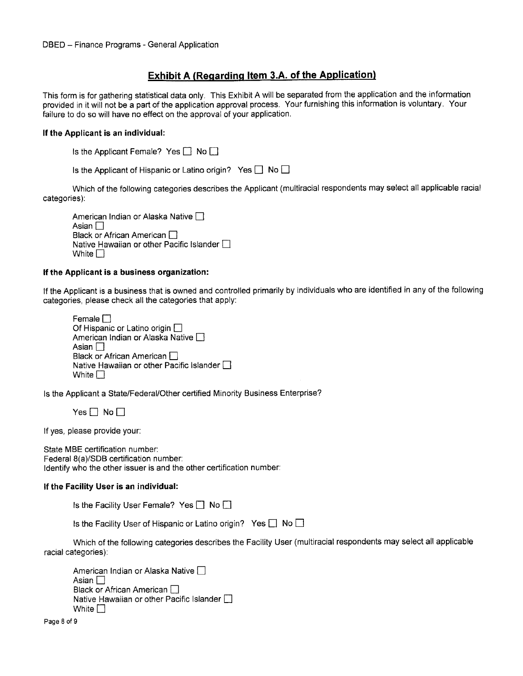## Exhibit A (Regarding Item 3.A. of the Application)

This form is for gathering statistical data only. This Exhibit A will be separated from the application and the information provided in it will not be a part of the application approval process. Your furnishing this information is voluntary. Your failure to do so will have no effect on the approval of your application

#### If the Applicant is an individual

| Is the Applicant Female? Yes $\Box$ No $\Box$ |  |  |
|-----------------------------------------------|--|--|
|-----------------------------------------------|--|--|

Is the Applicant of Hispanic or Latino origin? Yes  $\Box$  No  $\Box$ 

Which of the following categories describes the Applicant (multiracial respondents may select all applicable racial categories

American Indian or Alaska Native  $\square$ Asian  $\square$ Black or African American  $\Box$ Native Hawaiian or other Pacific Islander  $\square$ White  $\Box$ 

#### If the Applicant is a business organization

If the Applicant is a business that is owned and controlled primarily by individuals who are identified in any of the following categories, please check all the categories that apply:

Female<sub>[1]</sub> Of Hispanic or Latino origin  $\square$ American Indian or Alaska Native  $\square$ Asian  $\Box$ Black or African American Native Hawaiian or other Pacific Islander  $\Box$ White  $\Box$ 

Is the Applicant a State/Federal/Other certified Minority Business Enterprise?

 $Yes \Box No \Box$ 

If yes, please provide your:

State MBE certification number: Federal 8(a)/SDB certification number: Identify who the other issuer is and the other certification number:

#### If the Facility User is an individual

Is the Facility User Female? Yes  $\Box$  No  $\Box$ 

Is the Facility User of Hispanic or Latino origin? Yes  $\Box$  No  $\Box$ 

Which of the following categories describes the Facility User (multiracial respondents may select all applicable racial categories

American Indian or Alaska Native Asian  $\Box$ Black or African American  $\Box$ Native Hawaiian or other Pacific Islander White  $\Box$ 

Page 8 of 9